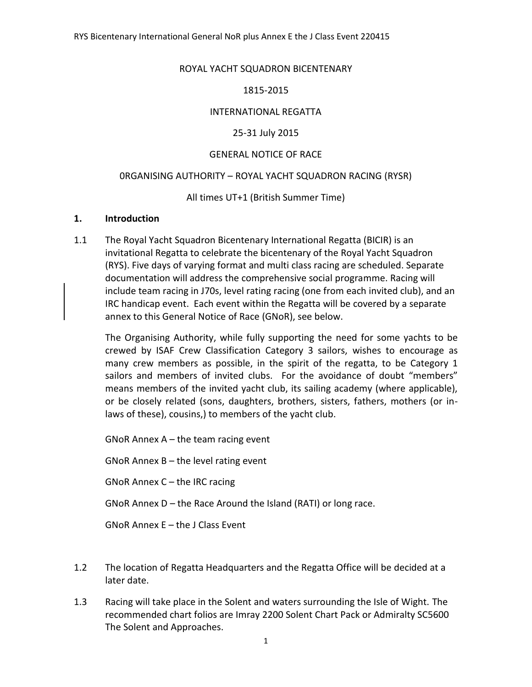#### ROYAL YACHT SQUADRON BICENTENARY

#### 1815-2015

#### INTERNATIONAL REGATTA

#### 25-31 July 2015

#### GENERAL NOTICE OF RACE

#### 0RGANISING AUTHORITY – ROYAL YACHT SQUADRON RACING (RYSR)

#### All times UT+1 (British Summer Time)

#### **1. Introduction**

1.1 The Royal Yacht Squadron Bicentenary International Regatta (BICIR) is an invitational Regatta to celebrate the bicentenary of the Royal Yacht Squadron (RYS). Five days of varying format and multi class racing are scheduled. Separate documentation will address the comprehensive social programme. Racing will include team racing in J70s, level rating racing (one from each invited club), and an IRC handicap event. Each event within the Regatta will be covered by a separate annex to this General Notice of Race (GNoR), see below.

The Organising Authority, while fully supporting the need for some yachts to be crewed by ISAF Crew Classification Category 3 sailors, wishes to encourage as many crew members as possible, in the spirit of the regatta, to be Category 1 sailors and members of invited clubs. For the avoidance of doubt "members" means members of the invited yacht club, its sailing academy (where applicable), or be closely related (sons, daughters, brothers, sisters, fathers, mothers (or inlaws of these), cousins,) to members of the yacht club.

GNoR Annex A – the team racing event

GNoR Annex B – the level rating event

GNoR Annex C – the IRC racing

GNoR Annex D – the Race Around the Island (RATI) or long race.

GNoR Annex E – the J Class Event

- 1.2 The location of Regatta Headquarters and the Regatta Office will be decided at a later date.
- 1.3 Racing will take place in the Solent and waters surrounding the Isle of Wight. The recommended chart folios are Imray 2200 Solent Chart Pack or Admiralty SC5600 The Solent and Approaches.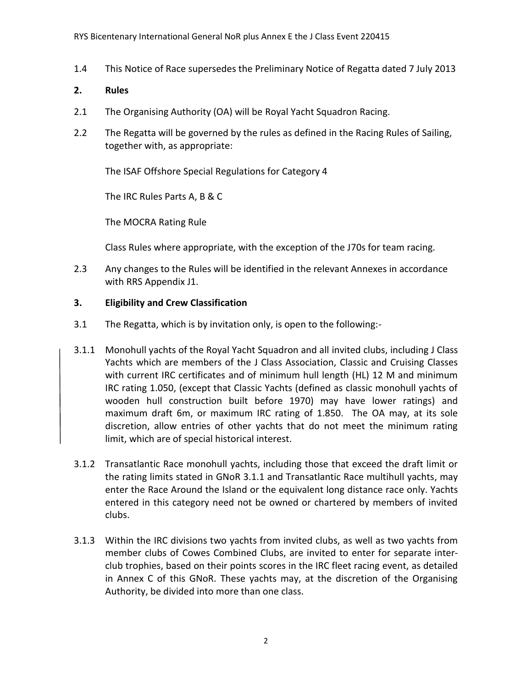1.4 This Notice of Race supersedes the Preliminary Notice of Regatta dated 7 July 2013

## **2. Rules**

- 2.1 The Organising Authority (OA) will be Royal Yacht Squadron Racing.
- 2.2 The Regatta will be governed by the rules as defined in the Racing Rules of Sailing, together with, as appropriate:

The ISAF Offshore Special Regulations for Category 4

The IRC Rules Parts A, B & C

The MOCRA Rating Rule

Class Rules where appropriate, with the exception of the J70s for team racing.

2.3 Any changes to the Rules will be identified in the relevant Annexes in accordance with RRS Appendix J1.

## **3. Eligibility and Crew Classification**

- 3.1 The Regatta, which is by invitation only, is open to the following:-
- 3.1.1 Monohull yachts of the Royal Yacht Squadron and all invited clubs, including J Class Yachts which are members of the J Class Association, Classic and Cruising Classes with current IRC certificates and of minimum hull length (HL) 12 M and minimum IRC rating 1.050, (except that Classic Yachts (defined as classic monohull yachts of wooden hull construction built before 1970) may have lower ratings) and maximum draft 6m, or maximum IRC rating of 1.850. The OA may, at its sole discretion, allow entries of other yachts that do not meet the minimum rating limit, which are of special historical interest.
- 3.1.2 Transatlantic Race monohull yachts, including those that exceed the draft limit or the rating limits stated in GNoR 3.1.1 and Transatlantic Race multihull yachts, may enter the Race Around the Island or the equivalent long distance race only. Yachts entered in this category need not be owned or chartered by members of invited clubs.
- 3.1.3 Within the IRC divisions two yachts from invited clubs, as well as two yachts from member clubs of Cowes Combined Clubs, are invited to enter for separate interclub trophies, based on their points scores in the IRC fleet racing event, as detailed in Annex C of this GNoR. These yachts may, at the discretion of the Organising Authority, be divided into more than one class.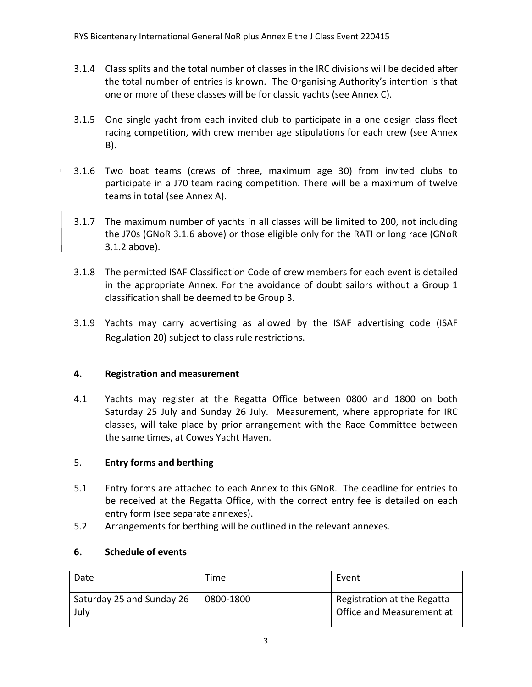- 3.1.4 Class splits and the total number of classes in the IRC divisions will be decided after the total number of entries is known. The Organising Authority's intention is that one or more of these classes will be for classic yachts (see Annex C).
- 3.1.5 One single yacht from each invited club to participate in a one design class fleet racing competition, with crew member age stipulations for each crew (see Annex B).
- 3.1.6 Two boat teams (crews of three, maximum age 30) from invited clubs to participate in a J70 team racing competition. There will be a maximum of twelve teams in total (see Annex A).
- 3.1.7 The maximum number of yachts in all classes will be limited to 200, not including the J70s (GNoR 3.1.6 above) or those eligible only for the RATI or long race (GNoR 3.1.2 above).
- 3.1.8 The permitted ISAF Classification Code of crew members for each event is detailed in the appropriate Annex. For the avoidance of doubt sailors without a Group 1 classification shall be deemed to be Group 3.
- 3.1.9 Yachts may carry advertising as allowed by the ISAF advertising code (ISAF Regulation 20) subject to class rule restrictions.

# **4. Registration and measurement**

4.1 Yachts may register at the Regatta Office between 0800 and 1800 on both Saturday 25 July and Sunday 26 July. Measurement, where appropriate for IRC classes, will take place by prior arrangement with the Race Committee between the same times, at Cowes Yacht Haven.

# 5. **Entry forms and berthing**

- 5.1 Entry forms are attached to each Annex to this GNoR. The deadline for entries to be received at the Regatta Office, with the correct entry fee is detailed on each entry form (see separate annexes).
- 5.2 Arrangements for berthing will be outlined in the relevant annexes.

# **6. Schedule of events**

| Date                              | Time      | Event                                                    |
|-----------------------------------|-----------|----------------------------------------------------------|
| Saturday 25 and Sunday 26<br>July | 0800-1800 | Registration at the Regatta<br>Office and Measurement at |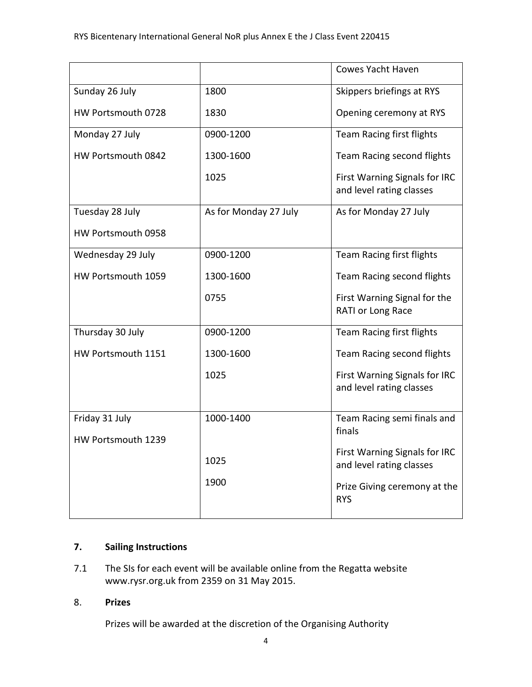|                    |                       | Cowes Yacht Haven                                         |
|--------------------|-----------------------|-----------------------------------------------------------|
| Sunday 26 July     | 1800                  | Skippers briefings at RYS                                 |
| HW Portsmouth 0728 | 1830                  | Opening ceremony at RYS                                   |
| Monday 27 July     | 0900-1200             | Team Racing first flights                                 |
| HW Portsmouth 0842 | 1300-1600             | Team Racing second flights                                |
|                    | 1025                  | First Warning Signals for IRC<br>and level rating classes |
| Tuesday 28 July    | As for Monday 27 July | As for Monday 27 July                                     |
| HW Portsmouth 0958 |                       |                                                           |
| Wednesday 29 July  | 0900-1200             | Team Racing first flights                                 |
| HW Portsmouth 1059 | 1300-1600             | Team Racing second flights                                |
|                    | 0755                  | First Warning Signal for the<br>RATI or Long Race         |
| Thursday 30 July   | 0900-1200             | Team Racing first flights                                 |
| HW Portsmouth 1151 | 1300-1600             | Team Racing second flights                                |
|                    | 1025                  | First Warning Signals for IRC<br>and level rating classes |
| Friday 31 July     | 1000-1400             | Team Racing semi finals and                               |
| HW Portsmouth 1239 |                       | finals                                                    |
|                    | 1025                  | First Warning Signals for IRC<br>and level rating classes |
|                    | 1900                  | Prize Giving ceremony at the<br><b>RYS</b>                |

## **7. Sailing Instructions**

7.1 The SIs for each event will be available online from the Regatta website www.rysr.org.uk from 2359 on 31 May 2015.

## 8. **Prizes**

Prizes will be awarded at the discretion of the Organising Authority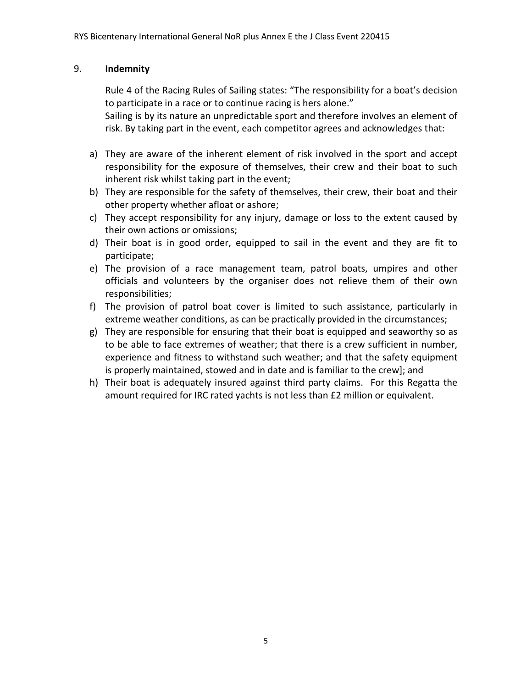## 9. **Indemnity**

Rule 4 of the Racing Rules of Sailing states: "The responsibility for a boat's decision to participate in a race or to continue racing is hers alone."

Sailing is by its nature an unpredictable sport and therefore involves an element of risk. By taking part in the event, each competitor agrees and acknowledges that:

- a) They are aware of the inherent element of risk involved in the sport and accept responsibility for the exposure of themselves, their crew and their boat to such inherent risk whilst taking part in the event;
- b) They are responsible for the safety of themselves, their crew, their boat and their other property whether afloat or ashore;
- c) They accept responsibility for any injury, damage or loss to the extent caused by their own actions or omissions;
- d) Their boat is in good order, equipped to sail in the event and they are fit to participate;
- e) The provision of a race management team, patrol boats, umpires and other officials and volunteers by the organiser does not relieve them of their own responsibilities;
- f) The provision of patrol boat cover is limited to such assistance, particularly in extreme weather conditions, as can be practically provided in the circumstances;
- g) They are responsible for ensuring that their boat is equipped and seaworthy so as to be able to face extremes of weather; that there is a crew sufficient in number, experience and fitness to withstand such weather; and that the safety equipment is properly maintained, stowed and in date and is familiar to the crew]; and
- h) Their boat is adequately insured against third party claims. For this Regatta the amount required for IRC rated yachts is not less than £2 million or equivalent.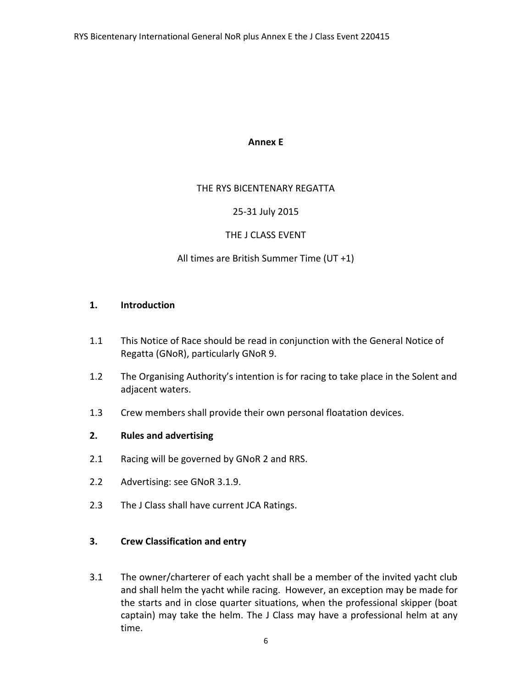#### **Annex E**

### THE RYS BICENTENARY REGATTA

### 25-31 July 2015

## THE J CLASS EVENT

## All times are British Summer Time (UT +1)

#### **1. Introduction**

- 1.1 This Notice of Race should be read in conjunction with the General Notice of Regatta (GNoR), particularly GNoR 9.
- 1.2 The Organising Authority's intention is for racing to take place in the Solent and adjacent waters.
- 1.3 Crew members shall provide their own personal floatation devices.

### **2. Rules and advertising**

- 2.1 Racing will be governed by GNoR 2 and RRS.
- 2.2 Advertising: see GNoR 3.1.9.
- 2.3 The J Class shall have current JCA Ratings.

### **3. Crew Classification and entry**

3.1 The owner/charterer of each yacht shall be a member of the invited yacht club and shall helm the yacht while racing. However, an exception may be made for the starts and in close quarter situations, when the professional skipper (boat captain) may take the helm. The J Class may have a professional helm at any time.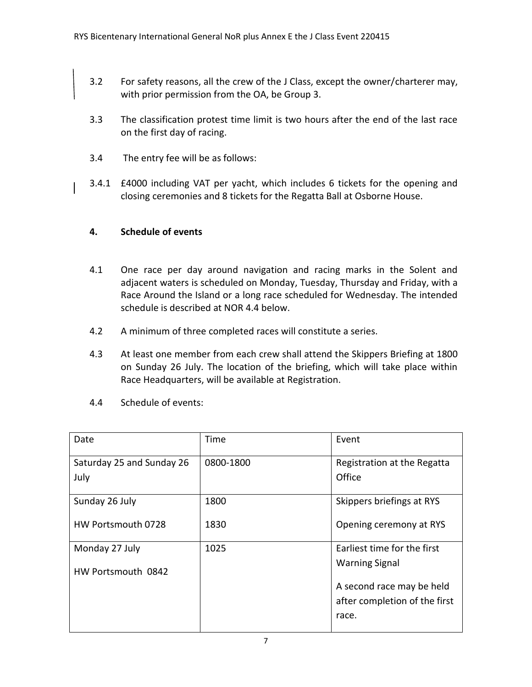- 3.2 For safety reasons, all the crew of the J Class, except the owner/charterer may, with prior permission from the OA, be Group 3.
- 3.3 The classification protest time limit is two hours after the end of the last race on the first day of racing.
- 3.4 The entry fee will be as follows:
- 3.4.1 £4000 including VAT per yacht, which includes 6 tickets for the opening and closing ceremonies and 8 tickets for the Regatta Ball at Osborne House.

# **4. Schedule of events**

- 4.1 One race per day around navigation and racing marks in the Solent and adjacent waters is scheduled on Monday, Tuesday, Thursday and Friday, with a Race Around the Island or a long race scheduled for Wednesday. The intended schedule is described at NOR 4.4 below.
- 4.2 A minimum of three completed races will constitute a series.
- 4.3 At least one member from each crew shall attend the Skippers Briefing at 1800 on Sunday 26 July. The location of the briefing, which will take place within Race Headquarters, will be available at Registration.
- 4.4 Schedule of events:

| Date                              | Time      | Event                                 |
|-----------------------------------|-----------|---------------------------------------|
| Saturday 25 and Sunday 26<br>July | 0800-1800 | Registration at the Regatta<br>Office |
|                                   |           |                                       |
| Sunday 26 July                    | 1800      | Skippers briefings at RYS             |
| HW Portsmouth 0728                | 1830      | Opening ceremony at RYS               |
| Monday 27 July                    | 1025      | Earliest time for the first           |
| HW Portsmouth 0842                |           | <b>Warning Signal</b>                 |
|                                   |           | A second race may be held             |
|                                   |           | after completion of the first         |
|                                   |           | race.                                 |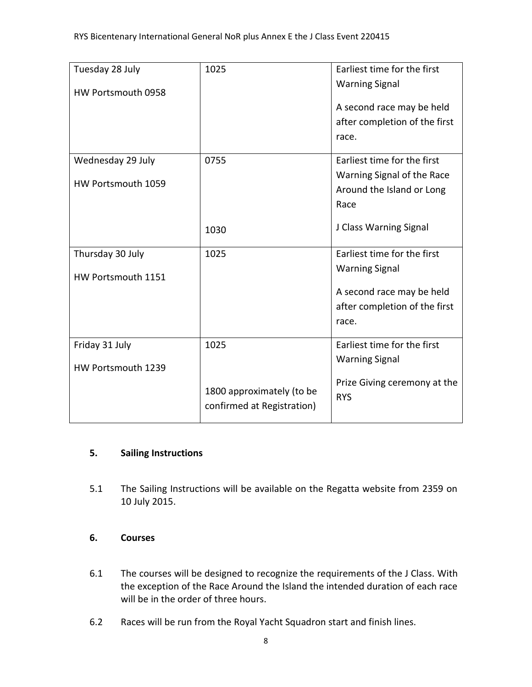| Tuesday 28 July<br>HW Portsmouth 0958 | 1025                                                    | Earliest time for the first<br><b>Warning Signal</b> |
|---------------------------------------|---------------------------------------------------------|------------------------------------------------------|
|                                       |                                                         | A second race may be held                            |
|                                       |                                                         | after completion of the first                        |
|                                       |                                                         | race.                                                |
| Wednesday 29 July                     | 0755                                                    | Earliest time for the first                          |
| HW Portsmouth 1059                    |                                                         | Warning Signal of the Race                           |
|                                       |                                                         | Around the Island or Long                            |
|                                       |                                                         | Race                                                 |
|                                       | 1030                                                    | J Class Warning Signal                               |
| Thursday 30 July                      | 1025                                                    | Earliest time for the first                          |
| HW Portsmouth 1151                    |                                                         | <b>Warning Signal</b>                                |
|                                       |                                                         | A second race may be held                            |
|                                       |                                                         | after completion of the first                        |
|                                       |                                                         | race.                                                |
| Friday 31 July                        | 1025                                                    | Earliest time for the first                          |
| HW Portsmouth 1239                    |                                                         | <b>Warning Signal</b>                                |
|                                       | 1800 approximately (to be<br>confirmed at Registration) | Prize Giving ceremony at the<br><b>RYS</b>           |

# **5. Sailing Instructions**

5.1 The Sailing Instructions will be available on the Regatta website from 2359 on 10 July 2015.

# **6. Courses**

- 6.1 The courses will be designed to recognize the requirements of the J Class. With the exception of the Race Around the Island the intended duration of each race will be in the order of three hours.
- 6.2 Races will be run from the Royal Yacht Squadron start and finish lines.